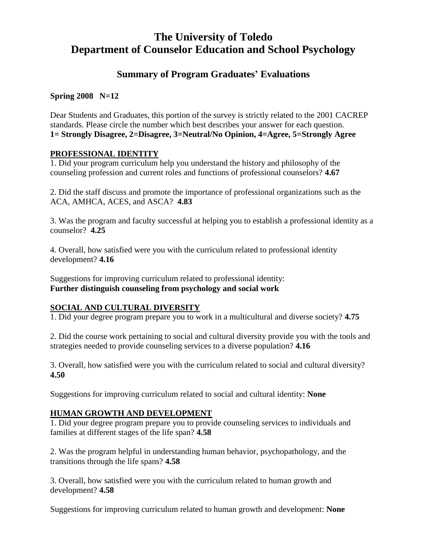# **The University of Toledo Department of Counselor Education and School Psychology**

# **Summary of Program Graduates' Evaluations**

**Spring 2008 N=12**

Dear Students and Graduates, this portion of the survey is strictly related to the 2001 CACREP standards. Please circle the number which best describes your answer for each question. **1= Strongly Disagree, 2=Disagree, 3=Neutral/No Opinion, 4=Agree, 5=Strongly Agree**

## **PROFESSIONAL IDENTITY**

1. Did your program curriculum help you understand the history and philosophy of the counseling profession and current roles and functions of professional counselors? **4.67**

2. Did the staff discuss and promote the importance of professional organizations such as the ACA, AMHCA, ACES, and ASCA? **4.83**

3. Was the program and faculty successful at helping you to establish a professional identity as a counselor? **4.25**

4. Overall, how satisfied were you with the curriculum related to professional identity development? **4.16**

Suggestions for improving curriculum related to professional identity: **Further distinguish counseling from psychology and social work**

# **SOCIAL AND CULTURAL DIVERSITY**

1. Did your degree program prepare you to work in a multicultural and diverse society? **4.75**

2. Did the course work pertaining to social and cultural diversity provide you with the tools and strategies needed to provide counseling services to a diverse population? **4.16**

3. Overall, how satisfied were you with the curriculum related to social and cultural diversity? **4.50**

Suggestions for improving curriculum related to social and cultural identity: **None**

## **HUMAN GROWTH AND DEVELOPMENT**

1. Did your degree program prepare you to provide counseling services to individuals and families at different stages of the life span? **4.58**

2. Was the program helpful in understanding human behavior, psychopathology, and the transitions through the life spans? **4.58**

3. Overall, how satisfied were you with the curriculum related to human growth and development? **4.58**

Suggestions for improving curriculum related to human growth and development: **None**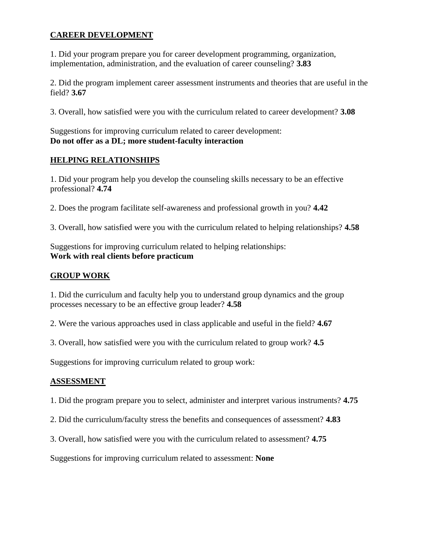# **CAREER DEVELOPMENT**

1. Did your program prepare you for career development programming, organization, implementation, administration, and the evaluation of career counseling? **3.83**

2. Did the program implement career assessment instruments and theories that are useful in the field? **3.67**

3. Overall, how satisfied were you with the curriculum related to career development? **3.08**

Suggestions for improving curriculum related to career development: **Do not offer as a DL; more student-faculty interaction**

#### **HELPING RELATIONSHIPS**

1. Did your program help you develop the counseling skills necessary to be an effective professional? **4.74**

2. Does the program facilitate self-awareness and professional growth in you? **4.42**

3. Overall, how satisfied were you with the curriculum related to helping relationships? **4.58**

Suggestions for improving curriculum related to helping relationships: **Work with real clients before practicum**

# **GROUP WORK**

1. Did the curriculum and faculty help you to understand group dynamics and the group processes necessary to be an effective group leader? **4.58**

2. Were the various approaches used in class applicable and useful in the field? **4.67**

3. Overall, how satisfied were you with the curriculum related to group work? **4.5**

Suggestions for improving curriculum related to group work:

## **ASSESSMENT**

1. Did the program prepare you to select, administer and interpret various instruments? **4.75**

- 2. Did the curriculum/faculty stress the benefits and consequences of assessment? **4.83**
- 3. Overall, how satisfied were you with the curriculum related to assessment? **4.75**

Suggestions for improving curriculum related to assessment: **None**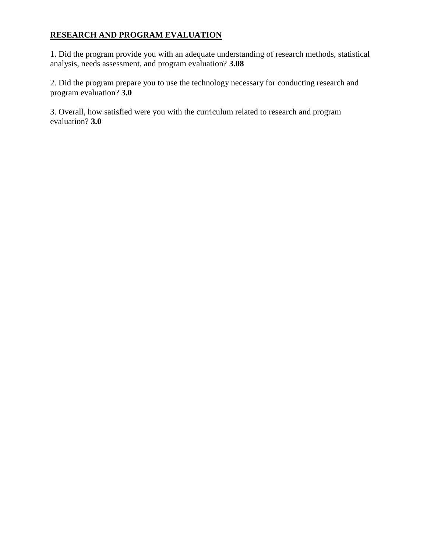# **RESEARCH AND PROGRAM EVALUATION**

1. Did the program provide you with an adequate understanding of research methods, statistical analysis, needs assessment, and program evaluation? **3.08**

2. Did the program prepare you to use the technology necessary for conducting research and program evaluation? **3.0**

3. Overall, how satisfied were you with the curriculum related to research and program evaluation? **3.0**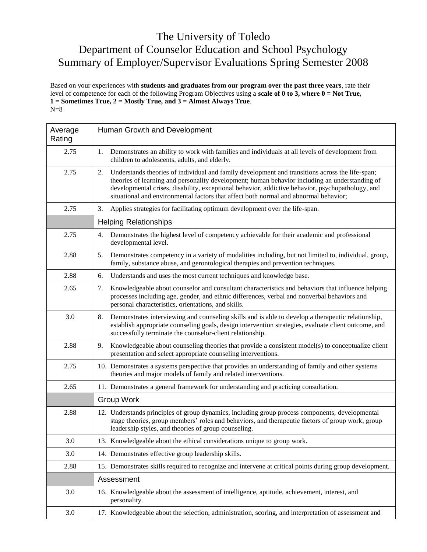# The University of Toledo Department of Counselor Education and School Psychology Summary of Employer/Supervisor Evaluations Spring Semester 2008

Based on your experiences with **students and graduates from our program over the past three years**, rate their level of competence for each of the following Program Objectives using a **scale of 0 to 3, where 0 = Not True, 1 = Sometimes True, 2 = Mostly True, and 3 = Almost Always True**.  $N=8$ 

| Average<br>Rating | Human Growth and Development                                                                                                                                                                                                                                                                                                                                                                        |
|-------------------|-----------------------------------------------------------------------------------------------------------------------------------------------------------------------------------------------------------------------------------------------------------------------------------------------------------------------------------------------------------------------------------------------------|
| 2.75              | 1.<br>Demonstrates an ability to work with families and individuals at all levels of development from<br>children to adolescents, adults, and elderly.                                                                                                                                                                                                                                              |
| 2.75              | Understands theories of individual and family development and transitions across the life-span;<br>2.<br>theories of learning and personality development; human behavior including an understanding of<br>developmental crises, disability, exceptional behavior, addictive behavior, psychopathology, and<br>situational and environmental factors that affect both normal and abnormal behavior; |
| 2.75              | Applies strategies for facilitating optimum development over the life-span.<br>3.                                                                                                                                                                                                                                                                                                                   |
|                   | <b>Helping Relationships</b>                                                                                                                                                                                                                                                                                                                                                                        |
| 2.75              | Demonstrates the highest level of competency achievable for their academic and professional<br>4.<br>developmental level.                                                                                                                                                                                                                                                                           |
| 2.88              | Demonstrates competency in a variety of modalities including, but not limited to, individual, group,<br>5.<br>family, substance abuse, and gerontological therapies and prevention techniques.                                                                                                                                                                                                      |
| 2.88              | Understands and uses the most current techniques and knowledge base.<br>6.                                                                                                                                                                                                                                                                                                                          |
| 2.65              | Knowledgeable about counselor and consultant characteristics and behaviors that influence helping<br>7.<br>processes including age, gender, and ethnic differences, verbal and nonverbal behaviors and<br>personal characteristics, orientations, and skills.                                                                                                                                       |
| 3.0               | Demonstrates interviewing and counseling skills and is able to develop a therapeutic relationship,<br>8.<br>establish appropriate counseling goals, design intervention strategies, evaluate client outcome, and<br>successfully terminate the counselor-client relationship.                                                                                                                       |
| 2.88              | Knowledgeable about counseling theories that provide a consistent model(s) to conceptualize client<br>9.<br>presentation and select appropriate counseling interventions.                                                                                                                                                                                                                           |
| 2.75              | 10. Demonstrates a systems perspective that provides an understanding of family and other systems<br>theories and major models of family and related interventions.                                                                                                                                                                                                                                 |
| 2.65              | 11. Demonstrates a general framework for understanding and practicing consultation.                                                                                                                                                                                                                                                                                                                 |
|                   | <b>Group Work</b>                                                                                                                                                                                                                                                                                                                                                                                   |
| 2.88              | 12. Understands principles of group dynamics, including group process components, developmental<br>stage theories, group members' roles and behaviors, and therapeutic factors of group work; group<br>leadership styles, and theories of group counseling.                                                                                                                                         |
| 3.0               | 13. Knowledgeable about the ethical considerations unique to group work.                                                                                                                                                                                                                                                                                                                            |
| 3.0               | 14. Demonstrates effective group leadership skills.                                                                                                                                                                                                                                                                                                                                                 |
| 2.88              | 15. Demonstrates skills required to recognize and intervene at critical points during group development.                                                                                                                                                                                                                                                                                            |
|                   | Assessment                                                                                                                                                                                                                                                                                                                                                                                          |
| 3.0               | 16. Knowledgeable about the assessment of intelligence, aptitude, achievement, interest, and<br>personality.                                                                                                                                                                                                                                                                                        |
| 3.0               | 17. Knowledgeable about the selection, administration, scoring, and interpretation of assessment and                                                                                                                                                                                                                                                                                                |